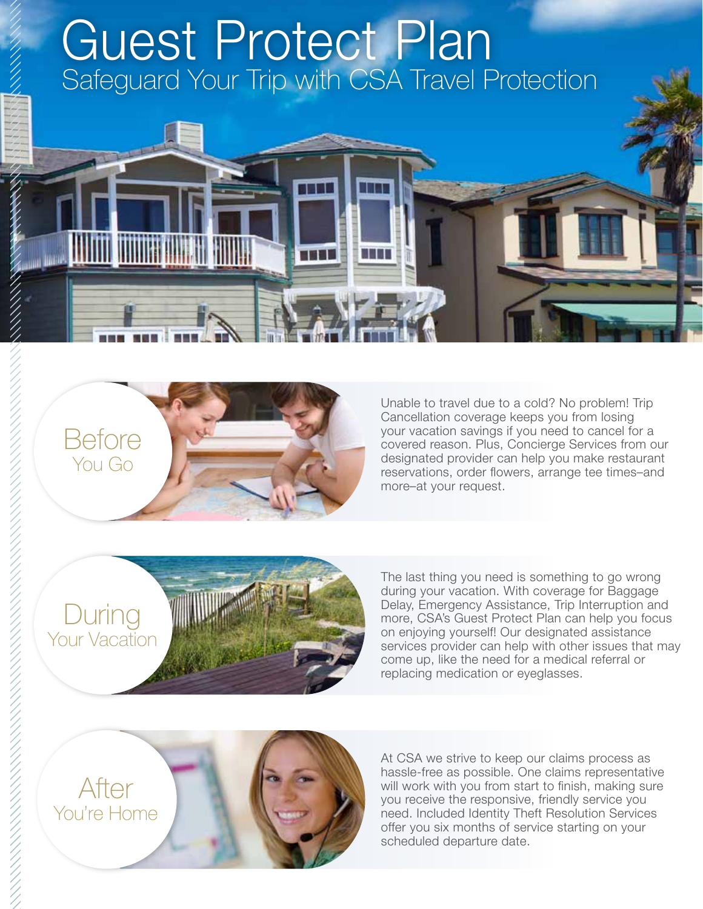# Safeguard Your Trip with CSA Travel Protection Guest Protect Plan



Unable to travel due to a cold? No problem! Trip Cancellation coverage keeps you from losing your vacation savings if you need to cancel for a covered reason. Plus, Concierge Services from our designated provider can help you make restaurant reservations, order flowers, arrange tee times–and more–at your request.

During Your Vacation



The last thing you need is something to go wrong during your vacation. With coverage for Baggage Delay, Emergency Assistance, Trip Interruption and more, CSA's Guest Protect Plan can help you focus on enjoying yourself! Our designated assistance services provider can help with other issues that may come up, like the need for a medical referral or replacing medication or eyeglasses.



At CSA we strive to keep our claims process as hassle-free as possible. One claims representative will work with you from start to finish, making sure you receive the responsive, friendly service you need. Included Identity Theft Resolution Services offer you six months of service starting on your scheduled departure date.